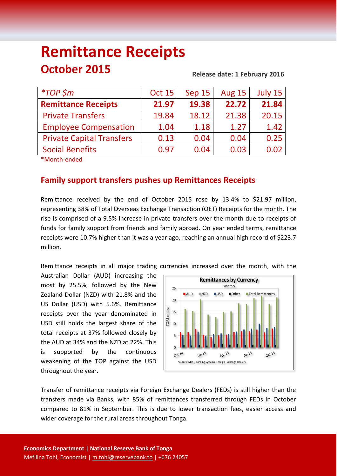# **Remittance Receipts October 2015 Release date: <sup>1</sup> February 2016**

| $*TOP$ \$m                       | <b>Oct 15</b> | <b>Sep 15</b> | <b>Aug 15</b> | July 15 |
|----------------------------------|---------------|---------------|---------------|---------|
| <b>Remittance Receipts</b>       | 21.97         | 19.38         | 22.72         | 21.84   |
| <b>Private Transfers</b>         | 19.84         | 18.12         | 21.38         | 20.15   |
| <b>Employee Compensation</b>     | 1.04          | 1.18          | 1.27          | 1.42    |
| <b>Private Capital Transfers</b> | 0.13          | 0.04          | 0.04          | 0.25    |
| <b>Social Benefits</b>           | 0.97          | 0.04          | 0.03          | 0.02    |
|                                  |               |               |               |         |

\*Month-ended

## **Family support transfers pushes up Remittances Receipts**

Remittance received by the end of October 2015 rose by 13.4% to \$21.97 million, representing 38% of Total Overseas Exchange Transaction (OET) Receipts for the month. The rise is comprised of a 9.5% increase in private transfers over the month due to receipts of funds for family support from friends and family abroad. On year ended terms, remittance receipts were 10.7% higher than it was a year ago, reaching an annual high record of \$223.7 million.

Remittance receipts in all major trading currencies increased over the month, with the

Australian Dollar (AUD) increasing the most by 25.5%, followed by the New Zealand Dollar (NZD) with 21.8% and the US Dollar (USD) with 5.6%. Remittance receipts over the year denominated in USD still holds the largest share of the total receipts at 37% followed closely by the AUD at 34% and the NZD at 22%. This is supported by the continuous weakening of the TOP against the USD throughout the year.



Transfer of remittance receipts via Foreign Exchange Dealers (FEDs) is still higher than the transfers made via Banks, with 85% of remittances transferred through FEDs in October compared to 81% in September. This is due to lower transaction fees, easier access and wider coverage for the rural areas throughout Tonga.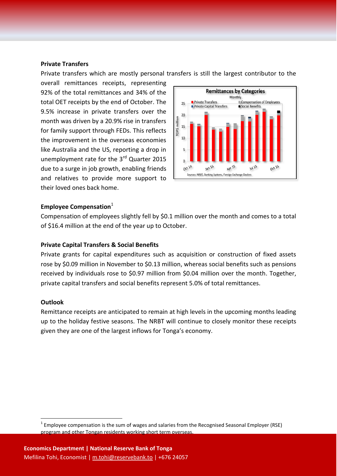#### **Private Transfers**

Private transfers which are mostly personal transfers is still the largest contributor to the

overall remittances receipts, representing 92% of the total remittances and 34% of the total OET receipts by the end of October. The 9.5% increase in private transfers over the month was driven by a 20.9% rise in transfers for family support through FEDs. This reflects the improvement in the overseas economies like Australia and the US, reporting a drop in unemployment rate for the 3<sup>rd</sup> Quarter 2015 due to a surge in job growth, enabling friends and relatives to provide more support to their loved ones back home.



#### **Employee Compensation**<sup>1</sup>

Compensation of employees slightly fell by \$0.1 million over the month and comes to a total of \$16.4 million at the end of the year up to October.

#### **Private Capital Transfers & Social Benefits**

Private grants for capital expenditures such as acquisition or construction of fixed assets rose by \$0.09 million in November to \$0.13 million, whereas social benefits such as pensions received by individuals rose to \$0.97 million from \$0.04 million over the month. Together, private capital transfers and social benefits represent 5.0% of total remittances.

#### **Outlook**

Remittance receipts are anticipated to remain at high levels in the upcoming months leading up to the holiday festive seasons. The NRBT will continue to closely monitor these receipts given they are one of the largest inflows for Tonga's economy.

 $1$  Employee compensation is the sum of wages and salaries from the Recognised Seasonal Employer (RSE) program and other Tongan residents working short term overseas.